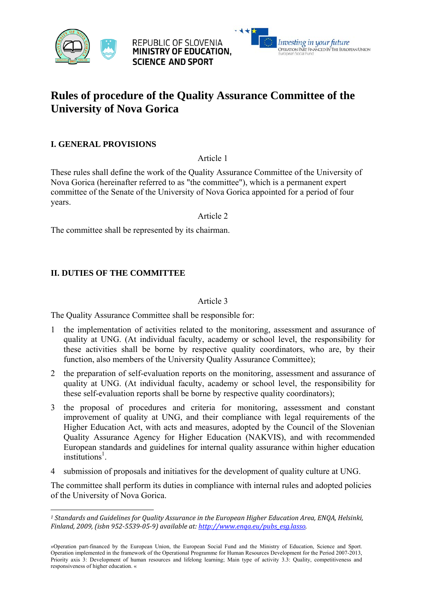

REPUBLIC OF SLOVENIA MINISTRY OF EDUCATION. **SCIENCE AND SPORT** 



# **Rules of procedure of the Quality Assurance Committee of the University of Nova Gorica**

## **I. GENERAL PROVISIONS**

Article 1

These rules shall define the work of the Quality Assurance Committee of the University of Nova Gorica (hereinafter referred to as "the committee"), which is a permanent expert committee of the Senate of the University of Nova Gorica appointed for a period of four years.

Article 2

The committee shall be represented by its chairman.

#### **II. DUTIES OF THE COMMITTEE**

 

#### Article 3

The Quality Assurance Committee shall be responsible for:

- 1 the implementation of activities related to the monitoring, assessment and assurance of quality at UNG. (At individual faculty, academy or school level, the responsibility for these activities shall be borne by respective quality coordinators, who are, by their function, also members of the University Quality Assurance Committee);
- 2 the preparation of self-evaluation reports on the monitoring, assessment and assurance of quality at UNG. (At individual faculty, academy or school level, the responsibility for these self-evaluation reports shall be borne by respective quality coordinators);
- 3 the proposal of procedures and criteria for monitoring, assessment and constant improvement of quality at UNG, and their compliance with legal requirements of the Higher Education Act, with acts and measures, adopted by the Council of the Slovenian Quality Assurance Agency for Higher Education (NAKVIS), and with recommended European standards and guidelines for internal quality assurance within higher education institutions<sup>1</sup>.
- 4 submission of proposals and initiatives for the development of quality culture at UNG.

The committee shall perform its duties in compliance with internal rules and adopted policies of the University of Nova Gorica.

*<sup>1</sup> Standards and Guidelines for Quality Assurance in the European Higher Education Area, ENQA, Helsinki, Finland, 2009, (isbn 952‐5539‐05‐9) available at: http://www.enqa.eu/pubs\_esg.lasso.*

<sup>»</sup>Operation part-financed by the European Union, the European Social Fund and the Ministry of Education, Science and Sport. Operation implemented in the framework of the Operational Programme for Human Resources Development for the Period 2007-2013, Priority axis 3: Development of human resources and lifelong learning; Main type of activity 3.3: Quality, competitiveness and responsiveness of higher education. «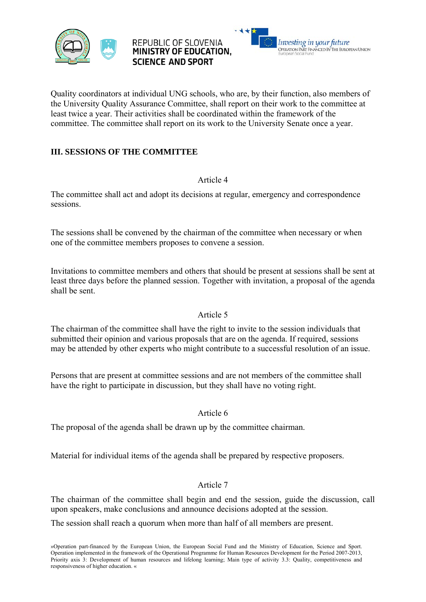





Quality coordinators at individual UNG schools, who are, by their function, also members of the University Quality Assurance Committee, shall report on their work to the committee at least twice a year. Their activities shall be coordinated within the framework of the committee. The committee shall report on its work to the University Senate once a year.

## **III. SESSIONS OF THE COMMITTEE**

#### Article 4

The committee shall act and adopt its decisions at regular, emergency and correspondence sessions.

The sessions shall be convened by the chairman of the committee when necessary or when one of the committee members proposes to convene a session.

Invitations to committee members and others that should be present at sessions shall be sent at least three days before the planned session. Together with invitation, a proposal of the agenda shall be sent.

## Article 5

The chairman of the committee shall have the right to invite to the session individuals that submitted their opinion and various proposals that are on the agenda. If required, sessions may be attended by other experts who might contribute to a successful resolution of an issue.

Persons that are present at committee sessions and are not members of the committee shall have the right to participate in discussion, but they shall have no voting right.

## Article 6

The proposal of the agenda shall be drawn up by the committee chairman.

Material for individual items of the agenda shall be prepared by respective proposers.

## Article 7

The chairman of the committee shall begin and end the session, guide the discussion, call upon speakers, make conclusions and announce decisions adopted at the session.

The session shall reach a quorum when more than half of all members are present.

»Operation part-financed by the European Union, the European Social Fund and the Ministry of Education, Science and Sport. Operation implemented in the framework of the Operational Programme for Human Resources Development for the Period 2007-2013, Priority axis 3: Development of human resources and lifelong learning; Main type of activity 3.3: Quality, competitiveness and responsiveness of higher education. «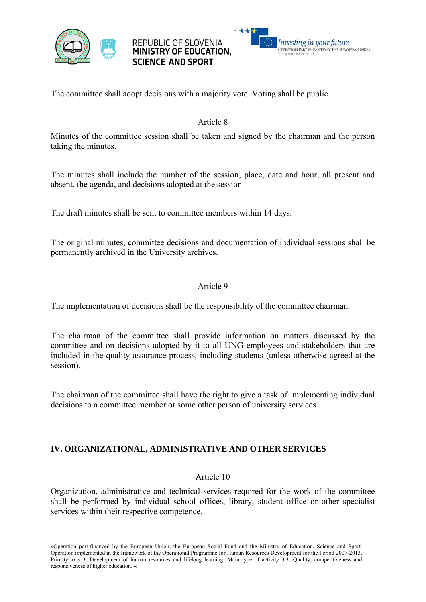





The committee shall adopt decisions with a majority vote. Voting shall be public.

#### Article 8

Minutes of the committee session shall be taken and signed by the chairman and the person taking the minutes.

The minutes shall include the number of the session, place, date and hour, all present and absent, the agenda, and decisions adopted at the session.

The draft minutes shall be sent to committee members within 14 days.

The original minutes, committee decisions and documentation of individual sessions shall be permanently archived in the University archives.

#### Article 9

The implementation of decisions shall be the responsibility of the committee chairman.

The chairman of the committee shall provide information on matters discussed by the committee and on decisions adopted by it to all UNG employees and stakeholders that are included in the quality assurance process, including students (unless otherwise agreed at the session).

The chairman of the committee shall have the right to give a task of implementing individual decisions to a committee member or some other person of university services.

#### **IV. ORGANIZATIONAL, ADMINISTRATIVE AND OTHER SERVICES**

#### Article 10

Organization, administrative and technical services required for the work of the committee shall be performed by individual school offices, library, student office or other specialist services within their respective competence.

»Operation part-financed by the European Union, the European Social Fund and the Ministry of Education, Science and Sport. Operation implemented in the framework of the Operational Programme for Human Resources Development for the Period 2007-2013, Priority axis 3: Development of human resources and lifelong learning; Main type of activity 3.3: Quality, competitiveness and responsiveness of higher education. «